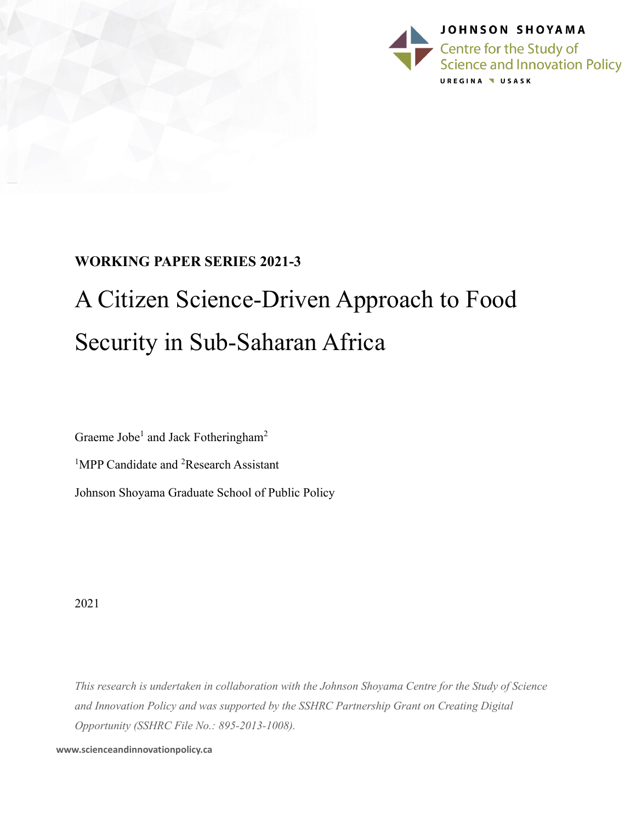

## **WORKING PAPER SERIES 2021-3**

# A Citizen Science-Driven Approach to Food Security in Sub-Saharan Africa

Graeme Jobe<sup>1</sup> and Jack Fotheringham<sup>2</sup>

<sup>1</sup>MPP Candidate and <sup>2</sup>Research Assistant Johnson Shoyama Graduate School of Public Policy

2021

*This research is undertaken in collaboration with the Johnson Shoyama Centre for the Study of Science and Innovation Policy and was supported by the SSHRC Partnership Grant on Creating Digital Opportunity (SSHRC File No.: 895-2013-1008).*

**www.scienceandinnovationpolicy.ca**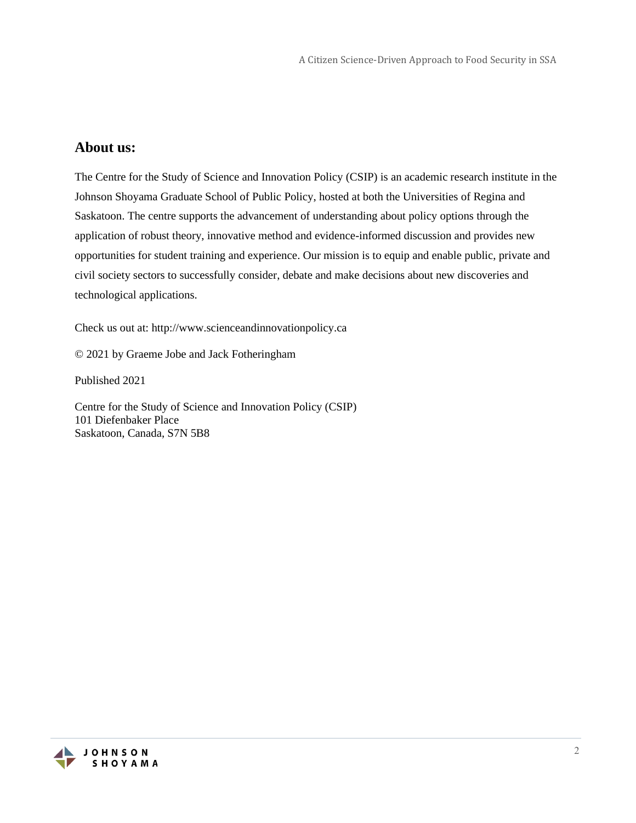### **About us:**

The Centre for the Study of Science and Innovation Policy (CSIP) is an academic research institute in the Johnson Shoyama Graduate School of Public Policy, hosted at both the Universities of Regina and Saskatoon. The centre supports the advancement of understanding about policy options through the application of robust theory, innovative method and evidence-informed discussion and provides new opportunities for student training and experience. Our mission is to equip and enable public, private and civil society sectors to successfully consider, debate and make decisions about new discoveries and technological applications.

Check us out at: http://www.scienceandinnovationpolicy.ca

© 2021 by Graeme Jobe and Jack Fotheringham

Published 2021

Centre for the Study of Science and Innovation Policy (CSIP) 101 Diefenbaker Place Saskatoon, Canada, S7N 5B8

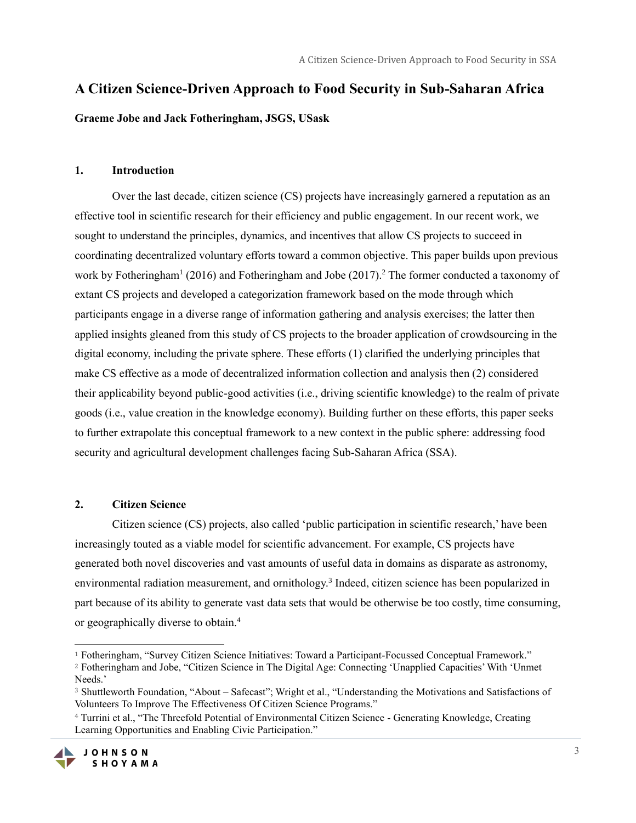## **A Citizen Science-Driven Approach to Food Security in Sub-Saharan Africa**

**Graeme Jobe and Jack Fotheringham, JSGS, USask**

#### **1. Introduction**

Over the last decade, citizen science (CS) projects have increasingly garnered a reputation as an effective tool in scientific research for their efficiency and public engagement. In our recent work, we sought to understand the principles, dynamics, and incentives that allow CS projects to succeed in coordinating decentralized voluntary efforts toward a common objective. This paper builds upon previous work by Fotheringham<sup>1</sup> (2016) and Fotheringham and Jobe (2017).<sup>2</sup> The former conducted a taxonomy of extant CS projects and developed a categorization framework based on the mode through which participants engage in a diverse range of information gathering and analysis exercises; the latter then applied insights gleaned from this study of CS projects to the broader application of crowdsourcing in the digital economy, including the private sphere. These efforts (1) clarified the underlying principles that make CS effective as a mode of decentralized information collection and analysis then (2) considered their applicability beyond public-good activities (i.e., driving scientific knowledge) to the realm of private goods (i.e., value creation in the knowledge economy). Building further on these efforts, this paper seeks to further extrapolate this conceptual framework to a new context in the public sphere: addressing food security and agricultural development challenges facing Sub-Saharan Africa (SSA).

#### **2. Citizen Science**

Citizen science (CS) projects, also called 'public participation in scientific research,' have been increasingly touted as a viable model for scientific advancement. For example, CS projects have generated both novel discoveries and vast amounts of useful data in domains as disparate as astronomy, environmental radiation measurement, and ornithology.<sup>3</sup> Indeed, citizen science has been popularized in part because of its ability to generate vast data sets that would be otherwise be too costly, time consuming, or geographically diverse to obtain.<sup>4</sup>

<sup>4</sup> Turrini et al., "The Threefold Potential of Environmental Citizen Science - Generating Knowledge, Creating Learning Opportunities and Enabling Civic Participation."



<sup>1</sup> Fotheringham, "Survey Citizen Science Initiatives: Toward a Participant-Focussed Conceptual Framework." <sup>2</sup> Fotheringham and Jobe, "Citizen Science in The Digital Age: Connecting 'Unapplied Capacities' With 'Unmet Needs.'

<sup>3</sup> Shuttleworth Foundation, "About – Safecast"; Wright et al., "Understanding the Motivations and Satisfactions of Volunteers To Improve The Effectiveness Of Citizen Science Programs."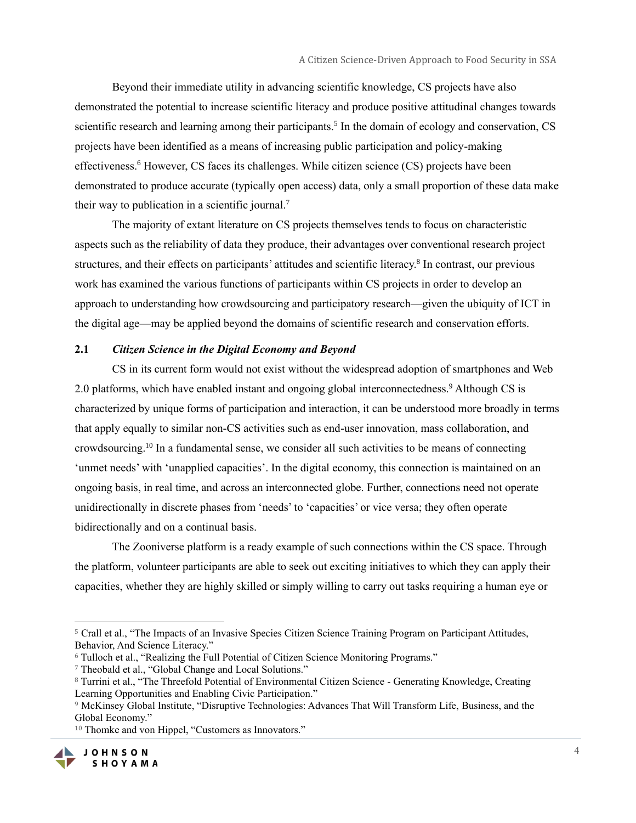Beyond their immediate utility in advancing scientific knowledge, CS projects have also demonstrated the potential to increase scientific literacy and produce positive attitudinal changes towards scientific research and learning among their participants.<sup>5</sup> In the domain of ecology and conservation, CS projects have been identified as a means of increasing public participation and policy-making effectiveness.<sup>6</sup> However, CS faces its challenges. While citizen science (CS) projects have been demonstrated to produce accurate (typically open access) data, only a small proportion of these data make their way to publication in a scientific journal.<sup>7</sup>

The majority of extant literature on CS projects themselves tends to focus on characteristic aspects such as the reliability of data they produce, their advantages over conventional research project structures, and their effects on participants' attitudes and scientific literacy.<sup>8</sup> In contrast, our previous work has examined the various functions of participants within CS projects in order to develop an approach to understanding how crowdsourcing and participatory research—given the ubiquity of ICT in the digital age—may be applied beyond the domains of scientific research and conservation efforts.

#### **2.1** *Citizen Science in the Digital Economy and Beyond*

CS in its current form would not exist without the widespread adoption of smartphones and Web 2.0 platforms, which have enabled instant and ongoing global interconnectedness.<sup>9</sup> Although CS is characterized by unique forms of participation and interaction, it can be understood more broadly in terms that apply equally to similar non-CS activities such as end-user innovation, mass collaboration, and crowdsourcing.<sup>10</sup> In a fundamental sense, we consider all such activities to be means of connecting 'unmet needs' with 'unapplied capacities'. In the digital economy, this connection is maintained on an ongoing basis, in real time, and across an interconnected globe. Further, connections need not operate unidirectionally in discrete phases from 'needs' to 'capacities' or vice versa; they often operate bidirectionally and on a continual basis.

The Zooniverse platform is a ready example of such connections within the CS space. Through the platform, volunteer participants are able to seek out exciting initiatives to which they can apply their capacities, whether they are highly skilled or simply willing to carry out tasks requiring a human eye or

<sup>&</sup>lt;sup>10</sup> Thomke and von Hippel, "Customers as Innovators."



<sup>5</sup> Crall et al., "The Impacts of an Invasive Species Citizen Science Training Program on Participant Attitudes, Behavior, And Science Literacy."

<sup>6</sup> Tulloch et al., "Realizing the Full Potential of Citizen Science Monitoring Programs."

<sup>7</sup> Theobald et al., "Global Change and Local Solutions."

<sup>8</sup> Turrini et al., "The Threefold Potential of Environmental Citizen Science - Generating Knowledge, Creating Learning Opportunities and Enabling Civic Participation."

<sup>9</sup> McKinsey Global Institute, "Disruptive Technologies: Advances That Will Transform Life, Business, and the Global Economy."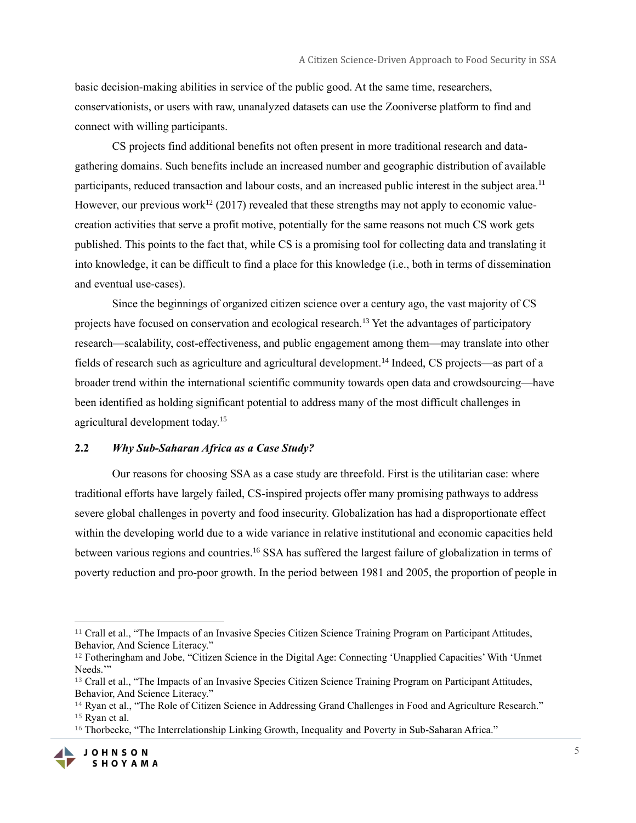basic decision-making abilities in service of the public good. At the same time, researchers, conservationists, or users with raw, unanalyzed datasets can use the Zooniverse platform to find and connect with willing participants.

CS projects find additional benefits not often present in more traditional research and datagathering domains. Such benefits include an increased number and geographic distribution of available participants, reduced transaction and labour costs, and an increased public interest in the subject area.<sup>11</sup> However, our previous work<sup>12</sup> (2017) revealed that these strengths may not apply to economic valuecreation activities that serve a profit motive, potentially for the same reasons not much CS work gets published. This points to the fact that, while CS is a promising tool for collecting data and translating it into knowledge, it can be difficult to find a place for this knowledge (i.e., both in terms of dissemination and eventual use-cases).

Since the beginnings of organized citizen science over a century ago, the vast majority of CS projects have focused on conservation and ecological research.<sup>13</sup> Yet the advantages of participatory research—scalability, cost-effectiveness, and public engagement among them—may translate into other fields of research such as agriculture and agricultural development.<sup>14</sup> Indeed, CS projects—as part of a broader trend within the international scientific community towards open data and crowdsourcing—have been identified as holding significant potential to address many of the most difficult challenges in agricultural development today.<sup>15</sup>

#### **2.2** *Why Sub-Saharan Africa as a Case Study?*

Our reasons for choosing SSA as a case study are threefold. First is the utilitarian case: where traditional efforts have largely failed, CS-inspired projects offer many promising pathways to address severe global challenges in poverty and food insecurity. Globalization has had a disproportionate effect within the developing world due to a wide variance in relative institutional and economic capacities held between various regions and countries.<sup>16</sup> SSA has suffered the largest failure of globalization in terms of poverty reduction and pro-poor growth. In the period between 1981 and 2005, the proportion of people in

<sup>&</sup>lt;sup>16</sup> Thorbecke, "The Interrelationship Linking Growth, Inequality and Poverty in Sub-Saharan Africa."



<sup>11</sup> Crall et al., "The Impacts of an Invasive Species Citizen Science Training Program on Participant Attitudes, Behavior, And Science Literacy."

<sup>12</sup> Fotheringham and Jobe, "Citizen Science in the Digital Age: Connecting 'Unapplied Capacities' With 'Unmet Needs."

<sup>13</sup> Crall et al., "The Impacts of an Invasive Species Citizen Science Training Program on Participant Attitudes, Behavior, And Science Literacy."

<sup>14</sup> Ryan et al., "The Role of Citizen Science in Addressing Grand Challenges in Food and Agriculture Research." <sup>15</sup> Ryan et al.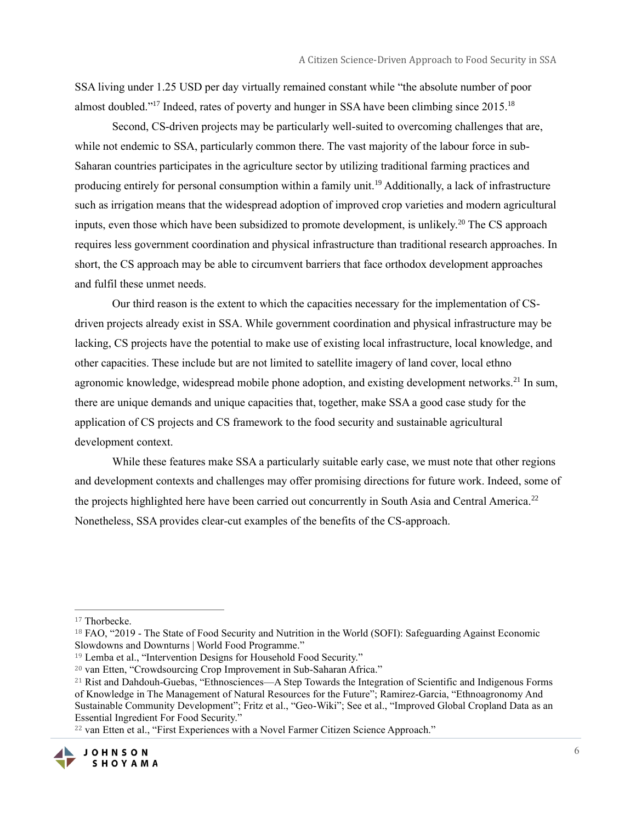SSA living under 1.25 USD per day virtually remained constant while "the absolute number of poor almost doubled."<sup>17</sup> Indeed, rates of poverty and hunger in SSA have been climbing since 2015.<sup>18</sup>

Second, CS-driven projects may be particularly well-suited to overcoming challenges that are, while not endemic to SSA, particularly common there. The vast majority of the labour force in sub-Saharan countries participates in the agriculture sector by utilizing traditional farming practices and producing entirely for personal consumption within a family unit.<sup>19</sup> Additionally, a lack of infrastructure such as irrigation means that the widespread adoption of improved crop varieties and modern agricultural inputs, even those which have been subsidized to promote development, is unlikely.<sup>20</sup> The CS approach requires less government coordination and physical infrastructure than traditional research approaches. In short, the CS approach may be able to circumvent barriers that face orthodox development approaches and fulfil these unmet needs.

Our third reason is the extent to which the capacities necessary for the implementation of CSdriven projects already exist in SSA. While government coordination and physical infrastructure may be lacking, CS projects have the potential to make use of existing local infrastructure, local knowledge, and other capacities. These include but are not limited to satellite imagery of land cover, local ethno agronomic knowledge, widespread mobile phone adoption, and existing development networks.<sup>21</sup> In sum, there are unique demands and unique capacities that, together, make SSA a good case study for the application of CS projects and CS framework to the food security and sustainable agricultural development context.

While these features make SSA a particularly suitable early case, we must note that other regions and development contexts and challenges may offer promising directions for future work. Indeed, some of the projects highlighted here have been carried out concurrently in South Asia and Central America.<sup>22</sup> Nonetheless, SSA provides clear-cut examples of the benefits of the CS-approach.

<sup>22</sup> van Etten et al., "First Experiences with a Novel Farmer Citizen Science Approach."



<sup>17</sup> Thorbecke.

<sup>&</sup>lt;sup>18</sup> FAO, "2019 - The State of Food Security and Nutrition in the World (SOFI): Safeguarding Against Economic Slowdowns and Downturns | World Food Programme."

<sup>&</sup>lt;sup>19</sup> Lemba et al., "Intervention Designs for Household Food Security."

<sup>20</sup> van Etten, "Crowdsourcing Crop Improvement in Sub-Saharan Africa."

<sup>21</sup> Rist and Dahdouh-Guebas, "Ethnosciences––A Step Towards the Integration of Scientific and Indigenous Forms of Knowledge in The Management of Natural Resources for the Future"; Ramirez-Garcia, "Ethnoagronomy And Sustainable Community Development"; Fritz et al., "Geo-Wiki"; See et al., "Improved Global Cropland Data as an Essential Ingredient For Food Security."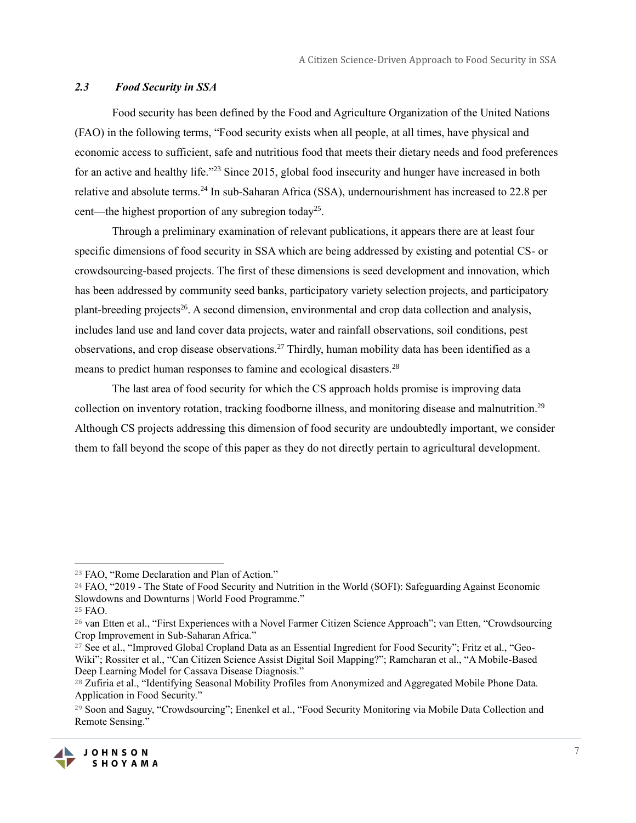#### *2.3 Food Security in SSA*

Food security has been defined by the Food and Agriculture Organization of the United Nations (FAO) in the following terms, "Food security exists when all people, at all times, have physical and economic access to sufficient, safe and nutritious food that meets their dietary needs and food preferences for an active and healthy life."<sup>23</sup> Since 2015, global food insecurity and hunger have increased in both relative and absolute terms.<sup>24</sup> In sub-Saharan Africa (SSA), undernourishment has increased to 22.8 per cent—the highest proportion of any subregion today<sup>25</sup>.

Through a preliminary examination of relevant publications, it appears there are at least four specific dimensions of food security in SSA which are being addressed by existing and potential CS- or crowdsourcing-based projects. The first of these dimensions is seed development and innovation, which has been addressed by community seed banks, participatory variety selection projects, and participatory plant-breeding projects<sup>26</sup>. A second dimension, environmental and crop data collection and analysis, includes land use and land cover data projects, water and rainfall observations, soil conditions, pest observations, and crop disease observations.<sup>27</sup> Thirdly, human mobility data has been identified as a means to predict human responses to famine and ecological disasters.<sup>28</sup>

The last area of food security for which the CS approach holds promise is improving data collection on inventory rotation, tracking foodborne illness, and monitoring disease and malnutrition.<sup>29</sup> Although CS projects addressing this dimension of food security are undoubtedly important, we consider them to fall beyond the scope of this paper as they do not directly pertain to agricultural development.

<sup>&</sup>lt;sup>23</sup> FAO, "Rome Declaration and Plan of Action."

<sup>&</sup>lt;sup>24</sup> FAO, "2019 - The State of Food Security and Nutrition in the World (SOFI): Safeguarding Against Economic Slowdowns and Downturns | World Food Programme."

<sup>25</sup> FAO.

<sup>26</sup> van Etten et al., "First Experiences with a Novel Farmer Citizen Science Approach"; van Etten, "Crowdsourcing Crop Improvement in Sub-Saharan Africa."

<sup>27</sup> See et al., "Improved Global Cropland Data as an Essential Ingredient for Food Security"; Fritz et al., "Geo-Wiki"; Rossiter et al., "Can Citizen Science Assist Digital Soil Mapping?"; Ramcharan et al., "A Mobile-Based Deep Learning Model for Cassava Disease Diagnosis."

<sup>&</sup>lt;sup>28</sup> Zufiria et al., "Identifying Seasonal Mobility Profiles from Anonymized and Aggregated Mobile Phone Data. Application in Food Security."

<sup>&</sup>lt;sup>29</sup> Soon and Saguy, "Crowdsourcing"; Enenkel et al., "Food Security Monitoring via Mobile Data Collection and Remote Sensing."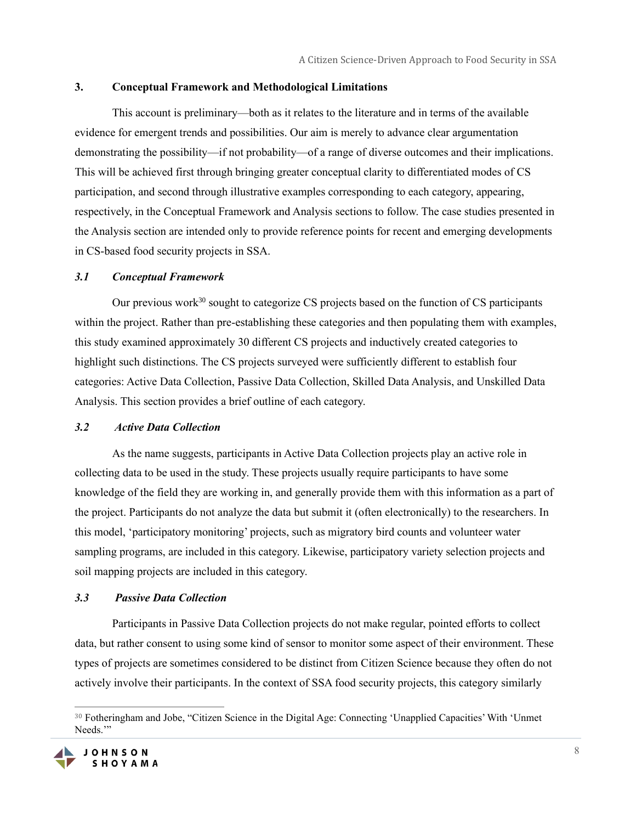#### **3. Conceptual Framework and Methodological Limitations**

This account is preliminary—both as it relates to the literature and in terms of the available evidence for emergent trends and possibilities. Our aim is merely to advance clear argumentation demonstrating the possibility—if not probability—of a range of diverse outcomes and their implications. This will be achieved first through bringing greater conceptual clarity to differentiated modes of CS participation, and second through illustrative examples corresponding to each category, appearing, respectively, in the Conceptual Framework and Analysis sections to follow. The case studies presented in the Analysis section are intended only to provide reference points for recent and emerging developments in CS-based food security projects in SSA.

#### *3.1 Conceptual Framework*

Our previous work $^{30}$  sought to categorize CS projects based on the function of CS participants within the project. Rather than pre-establishing these categories and then populating them with examples, this study examined approximately 30 different CS projects and inductively created categories to highlight such distinctions. The CS projects surveyed were sufficiently different to establish four categories: Active Data Collection, Passive Data Collection, Skilled Data Analysis, and Unskilled Data Analysis. This section provides a brief outline of each category.

#### *3.2 Active Data Collection*

As the name suggests, participants in Active Data Collection projects play an active role in collecting data to be used in the study. These projects usually require participants to have some knowledge of the field they are working in, and generally provide them with this information as a part of the project. Participants do not analyze the data but submit it (often electronically) to the researchers. In this model, 'participatory monitoring' projects, such as migratory bird counts and volunteer water sampling programs, are included in this category. Likewise, participatory variety selection projects and soil mapping projects are included in this category.

#### *3.3 Passive Data Collection*

Participants in Passive Data Collection projects do not make regular, pointed efforts to collect data, but rather consent to using some kind of sensor to monitor some aspect of their environment. These types of projects are sometimes considered to be distinct from Citizen Science because they often do not actively involve their participants. In the context of SSA food security projects, this category similarly

<sup>30</sup> Fotheringham and Jobe, "Citizen Science in the Digital Age: Connecting 'Unapplied Capacities' With 'Unmet Needs."

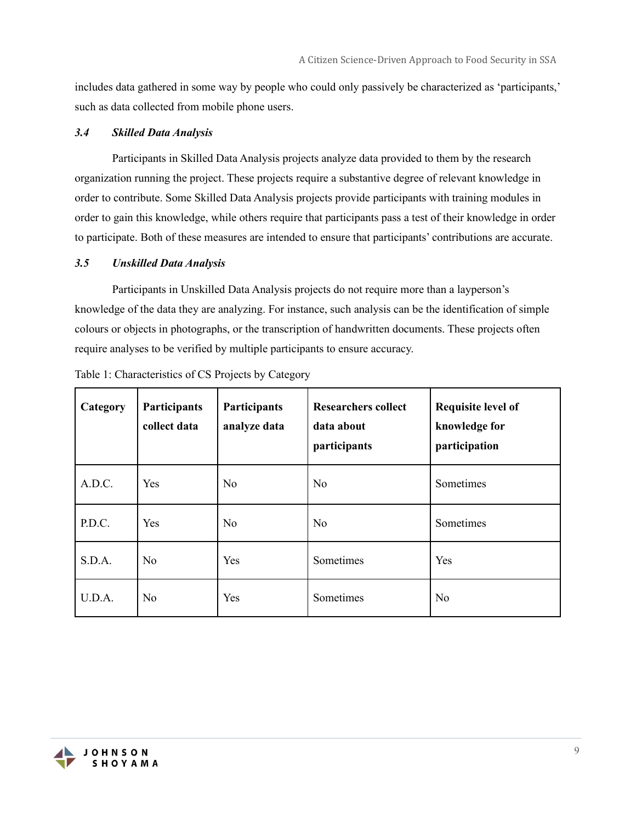includes data gathered in some way by people who could only passively be characterized as 'participants,' such as data collected from mobile phone users.

#### *3.4 Skilled Data Analysis*

Participants in Skilled Data Analysis projects analyze data provided to them by the research organization running the project. These projects require a substantive degree of relevant knowledge in order to contribute. Some Skilled Data Analysis projects provide participants with training modules in order to gain this knowledge, while others require that participants pass a test of their knowledge in order to participate. Both of these measures are intended to ensure that participants' contributions are accurate.

#### *3.5 Unskilled Data Analysis*

Participants in Unskilled Data Analysis projects do not require more than a layperson's knowledge of the data they are analyzing. For instance, such analysis can be the identification of simple colours or objects in photographs, or the transcription of handwritten documents. These projects often require analyses to be verified by multiple participants to ensure accuracy.

| Category | Participants<br>collect data | Participants<br>analyze data | <b>Researchers collect</b><br>data about<br>participants | Requisite level of<br>knowledge for<br>participation |
|----------|------------------------------|------------------------------|----------------------------------------------------------|------------------------------------------------------|
| A.D.C.   | Yes                          | No                           | N <sub>o</sub>                                           | Sometimes                                            |
| P.D.C.   | Yes                          | N <sub>o</sub>               | No                                                       | Sometimes                                            |
| S.D.A.   | No                           | Yes                          | Sometimes                                                | Yes                                                  |
| U.D.A.   | No                           | Yes                          | Sometimes                                                | No                                                   |

Table 1: Characteristics of CS Projects by Category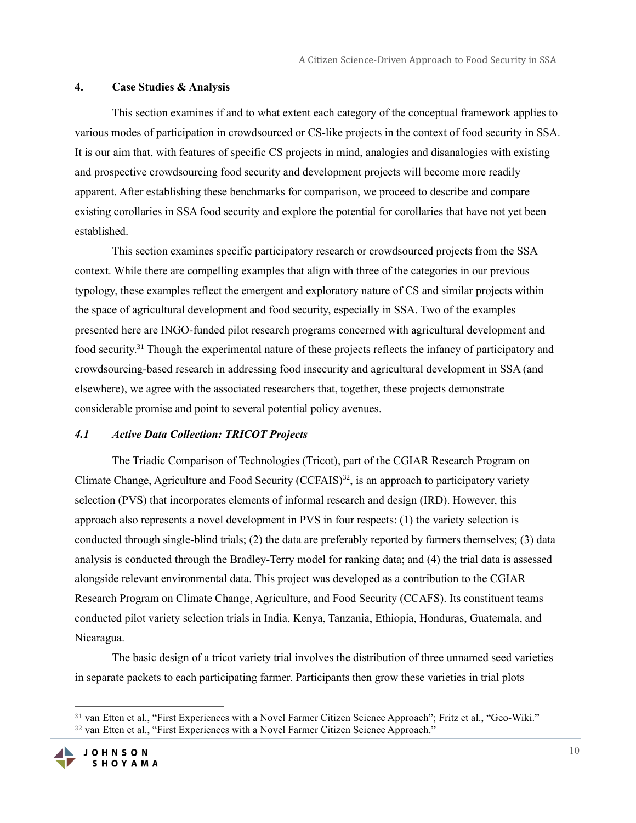#### **4. Case Studies & Analysis**

This section examines if and to what extent each category of the conceptual framework applies to various modes of participation in crowdsourced or CS-like projects in the context of food security in SSA. It is our aim that, with features of specific CS projects in mind, analogies and disanalogies with existing and prospective crowdsourcing food security and development projects will become more readily apparent. After establishing these benchmarks for comparison, we proceed to describe and compare existing corollaries in SSA food security and explore the potential for corollaries that have not yet been established.

This section examines specific participatory research or crowdsourced projects from the SSA context. While there are compelling examples that align with three of the categories in our previous typology, these examples reflect the emergent and exploratory nature of CS and similar projects within the space of agricultural development and food security, especially in SSA. Two of the examples presented here are INGO-funded pilot research programs concerned with agricultural development and food security.<sup>31</sup> Though the experimental nature of these projects reflects the infancy of participatory and crowdsourcing-based research in addressing food insecurity and agricultural development in SSA (and elsewhere), we agree with the associated researchers that, together, these projects demonstrate considerable promise and point to several potential policy avenues.

#### *4.1 Active Data Collection: TRICOT Projects*

The Triadic Comparison of Technologies (Tricot), part of the CGIAR Research Program on Climate Change, Agriculture and Food Security (CCFAIS)<sup>32</sup>, is an approach to participatory variety selection (PVS) that incorporates elements of informal research and design (IRD). However, this approach also represents a novel development in PVS in four respects: (1) the variety selection is conducted through single-blind trials; (2) the data are preferably reported by farmers themselves; (3) data analysis is conducted through the Bradley-Terry model for ranking data; and (4) the trial data is assessed alongside relevant environmental data. This project was developed as a contribution to the CGIAR Research Program on Climate Change, Agriculture, and Food Security (CCAFS). Its constituent teams conducted pilot variety selection trials in India, Kenya, Tanzania, Ethiopia, Honduras, Guatemala, and Nicaragua.

The basic design of a tricot variety trial involves the distribution of three unnamed seed varieties in separate packets to each participating farmer. Participants then grow these varieties in trial plots

<sup>31</sup> van Etten et al., "First Experiences with a Novel Farmer Citizen Science Approach"; Fritz et al., "Geo-Wiki." <sup>32</sup> van Etten et al., "First Experiences with a Novel Farmer Citizen Science Approach."

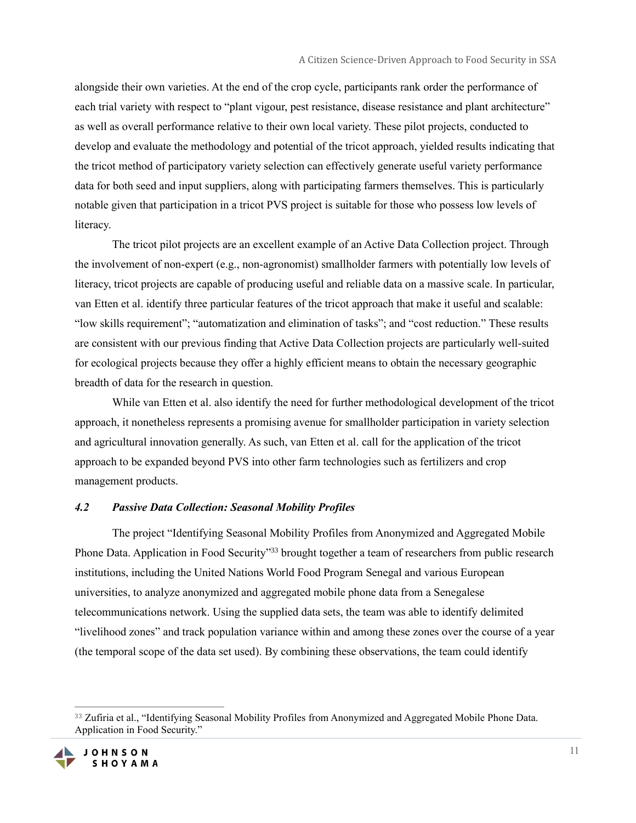alongside their own varieties. At the end of the crop cycle, participants rank order the performance of each trial variety with respect to "plant vigour, pest resistance, disease resistance and plant architecture" as well as overall performance relative to their own local variety. These pilot projects, conducted to develop and evaluate the methodology and potential of the tricot approach, yielded results indicating that the tricot method of participatory variety selection can effectively generate useful variety performance data for both seed and input suppliers, along with participating farmers themselves. This is particularly notable given that participation in a tricot PVS project is suitable for those who possess low levels of literacy.

The tricot pilot projects are an excellent example of an Active Data Collection project. Through the involvement of non-expert (e.g., non-agronomist) smallholder farmers with potentially low levels of literacy, tricot projects are capable of producing useful and reliable data on a massive scale. In particular, van Etten et al. identify three particular features of the tricot approach that make it useful and scalable: "low skills requirement"; "automatization and elimination of tasks"; and "cost reduction." These results are consistent with our previous finding that Active Data Collection projects are particularly well-suited for ecological projects because they offer a highly efficient means to obtain the necessary geographic breadth of data for the research in question.

While van Etten et al. also identify the need for further methodological development of the tricot approach, it nonetheless represents a promising avenue for smallholder participation in variety selection and agricultural innovation generally. As such, van Etten et al. call for the application of the tricot approach to be expanded beyond PVS into other farm technologies such as fertilizers and crop management products.

#### *4.2 Passive Data Collection: Seasonal Mobility Profiles*

The project "Identifying Seasonal Mobility Profiles from Anonymized and Aggregated Mobile Phone Data. Application in Food Security"<sup>33</sup> brought together a team of researchers from public research institutions, including the United Nations World Food Program Senegal and various European universities, to analyze anonymized and aggregated mobile phone data from a Senegalese telecommunications network. Using the supplied data sets, the team was able to identify delimited "livelihood zones" and track population variance within and among these zones over the course of a year (the temporal scope of the data set used). By combining these observations, the team could identify

<sup>&</sup>lt;sup>33</sup> Zufiria et al., "Identifying Seasonal Mobility Profiles from Anonymized and Aggregated Mobile Phone Data. Application in Food Security."

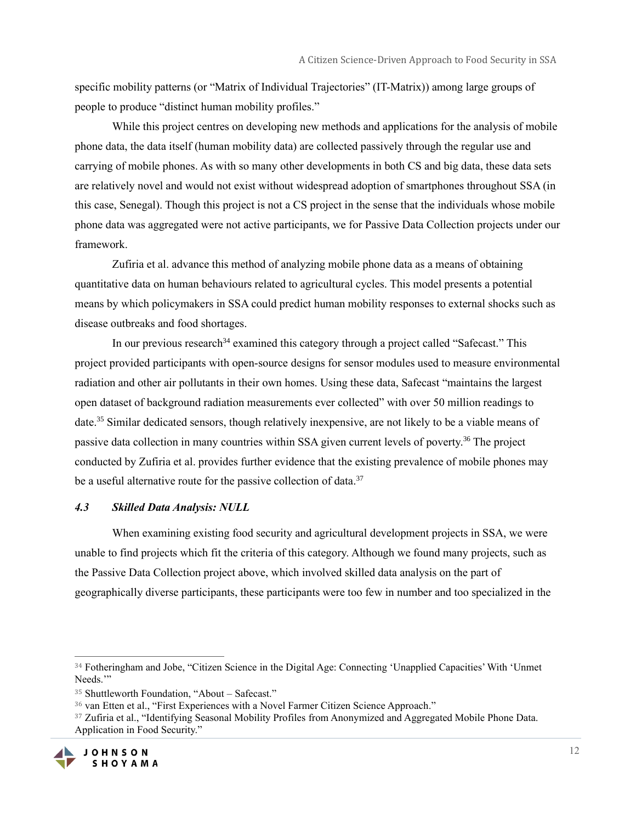specific mobility patterns (or "Matrix of Individual Trajectories" (IT-Matrix)) among large groups of people to produce "distinct human mobility profiles."

While this project centres on developing new methods and applications for the analysis of mobile phone data, the data itself (human mobility data) are collected passively through the regular use and carrying of mobile phones. As with so many other developments in both CS and big data, these data sets are relatively novel and would not exist without widespread adoption of smartphones throughout SSA (in this case, Senegal). Though this project is not a CS project in the sense that the individuals whose mobile phone data was aggregated were not active participants, we for Passive Data Collection projects under our framework.

Zufiria et al. advance this method of analyzing mobile phone data as a means of obtaining quantitative data on human behaviours related to agricultural cycles. This model presents a potential means by which policymakers in SSA could predict human mobility responses to external shocks such as disease outbreaks and food shortages.

In our previous research<sup>34</sup> examined this category through a project called "Safecast." This project provided participants with open-source designs for sensor modules used to measure environmental radiation and other air pollutants in their own homes. Using these data, Safecast "maintains the largest open dataset of background radiation measurements ever collected" with over 50 million readings to date.<sup>35</sup> Similar dedicated sensors, though relatively inexpensive, are not likely to be a viable means of passive data collection in many countries within SSA given current levels of poverty.<sup>36</sup> The project conducted by Zufiria et al. provides further evidence that the existing prevalence of mobile phones may be a useful alternative route for the passive collection of data.<sup>37</sup>

#### *4.3 Skilled Data Analysis: NULL*

When examining existing food security and agricultural development projects in SSA, we were unable to find projects which fit the criteria of this category. Although we found many projects, such as the Passive Data Collection project above, which involved skilled data analysis on the part of geographically diverse participants, these participants were too few in number and too specialized in the

<sup>&</sup>lt;sup>37</sup> Zufiria et al., "Identifying Seasonal Mobility Profiles from Anonymized and Aggregated Mobile Phone Data. Application in Food Security."



<sup>34</sup> Fotheringham and Jobe, "Citizen Science in the Digital Age: Connecting 'Unapplied Capacities' With 'Unmet Needs."

<sup>35</sup> Shuttleworth Foundation, "About – Safecast."

<sup>36</sup> van Etten et al., "First Experiences with a Novel Farmer Citizen Science Approach."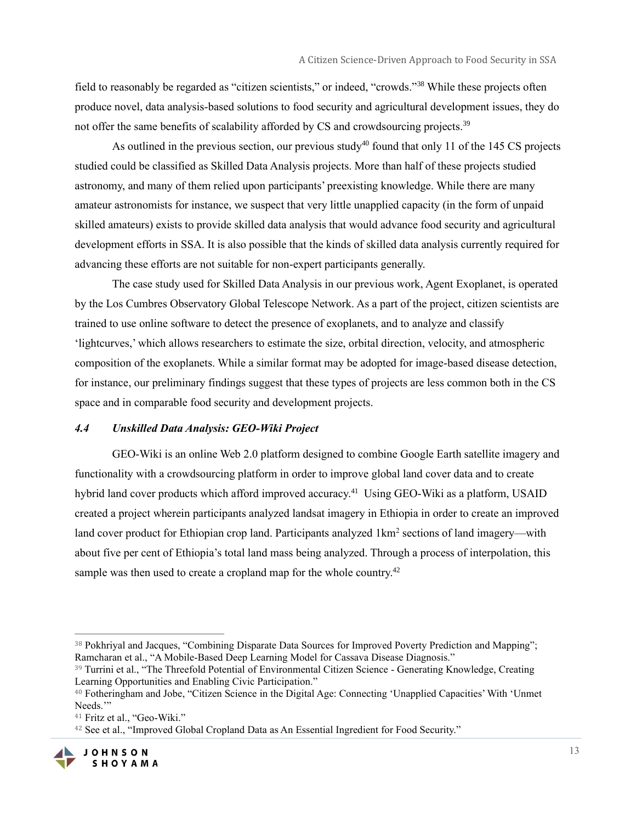field to reasonably be regarded as "citizen scientists," or indeed, "crowds."<sup>38</sup> While these projects often produce novel, data analysis-based solutions to food security and agricultural development issues, they do not offer the same benefits of scalability afforded by CS and crowdsourcing projects.<sup>39</sup>

As outlined in the previous section, our previous study<sup>40</sup> found that only 11 of the 145 CS projects studied could be classified as Skilled Data Analysis projects. More than half of these projects studied astronomy, and many of them relied upon participants' preexisting knowledge. While there are many amateur astronomists for instance, we suspect that very little unapplied capacity (in the form of unpaid skilled amateurs) exists to provide skilled data analysis that would advance food security and agricultural development efforts in SSA. It is also possible that the kinds of skilled data analysis currently required for advancing these efforts are not suitable for non-expert participants generally.

The case study used for Skilled Data Analysis in our previous work, Agent Exoplanet, is operated by the Los Cumbres Observatory Global Telescope Network. As a part of the project, citizen scientists are trained to use online software to detect the presence of exoplanets, and to analyze and classify 'lightcurves,' which allows researchers to estimate the size, orbital direction, velocity, and atmospheric composition of the exoplanets. While a similar format may be adopted for image-based disease detection, for instance, our preliminary findings suggest that these types of projects are less common both in the CS space and in comparable food security and development projects.

#### *4.4 Unskilled Data Analysis: GEO-Wiki Project*

GEO-Wiki is an online Web 2.0 platform designed to combine Google Earth satellite imagery and functionality with a crowdsourcing platform in order to improve global land cover data and to create hybrid land cover products which afford improved accuracy.<sup>41</sup> Using GEO-Wiki as a platform, USAID created a project wherein participants analyzed landsat imagery in Ethiopia in order to create an improved land cover product for Ethiopian crop land. Participants analyzed 1km<sup>2</sup> sections of land imagery—with about five per cent of Ethiopia's total land mass being analyzed. Through a process of interpolation, this sample was then used to create a cropland map for the whole country.<sup>42</sup>

<sup>42</sup> See et al., "Improved Global Cropland Data as An Essential Ingredient for Food Security."



<sup>&</sup>lt;sup>38</sup> Pokhriyal and Jacques, "Combining Disparate Data Sources for Improved Poverty Prediction and Mapping"; Ramcharan et al., "A Mobile-Based Deep Learning Model for Cassava Disease Diagnosis."

<sup>39</sup> Turrini et al., "The Threefold Potential of Environmental Citizen Science - Generating Knowledge, Creating Learning Opportunities and Enabling Civic Participation."

<sup>40</sup> Fotheringham and Jobe, "Citizen Science in the Digital Age: Connecting 'Unapplied Capacities' With 'Unmet Needs."

<sup>41</sup> Fritz et al., "Geo-Wiki."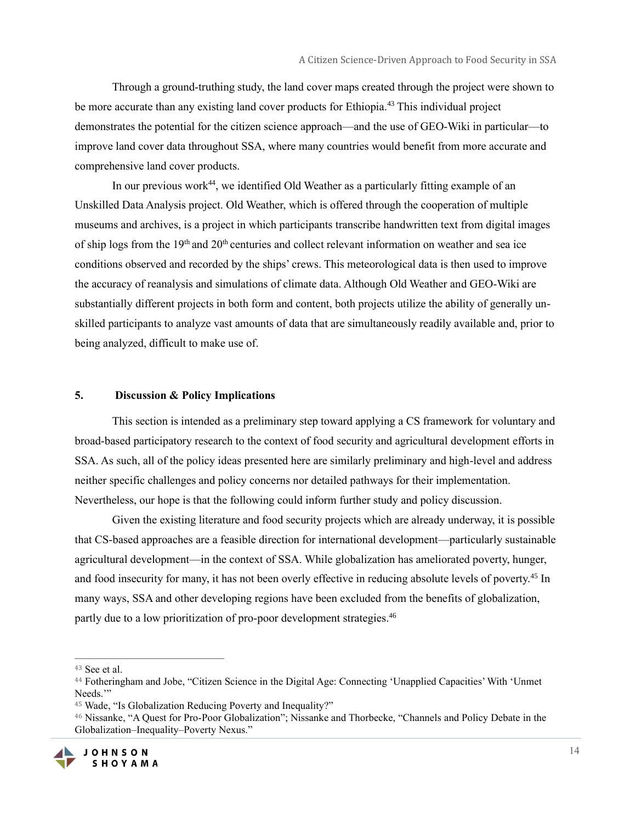Through a ground-truthing study, the land cover maps created through the project were shown to be more accurate than any existing land cover products for Ethiopia.<sup>43</sup> This individual project demonstrates the potential for the citizen science approach—and the use of GEO-Wiki in particular—to improve land cover data throughout SSA, where many countries would benefit from more accurate and comprehensive land cover products.

In our previous work<sup>44</sup>, we identified Old Weather as a particularly fitting example of an Unskilled Data Analysis project. Old Weather, which is offered through the cooperation of multiple museums and archives, is a project in which participants transcribe handwritten text from digital images of ship logs from the 19<sup>th</sup> and 20<sup>th</sup> centuries and collect relevant information on weather and sea ice conditions observed and recorded by the ships' crews. This meteorological data is then used to improve the accuracy of reanalysis and simulations of climate data. Although Old Weather and GEO-Wiki are substantially different projects in both form and content, both projects utilize the ability of generally unskilled participants to analyze vast amounts of data that are simultaneously readily available and, prior to being analyzed, difficult to make use of.

#### **5. Discussion & Policy Implications**

This section is intended as a preliminary step toward applying a CS framework for voluntary and broad-based participatory research to the context of food security and agricultural development efforts in SSA. As such, all of the policy ideas presented here are similarly preliminary and high-level and address neither specific challenges and policy concerns nor detailed pathways for their implementation. Nevertheless, our hope is that the following could inform further study and policy discussion.

Given the existing literature and food security projects which are already underway, it is possible that CS-based approaches are a feasible direction for international development—particularly sustainable agricultural development—in the context of SSA. While globalization has ameliorated poverty, hunger, and food insecurity for many, it has not been overly effective in reducing absolute levels of poverty.<sup>45</sup> In many ways, SSA and other developing regions have been excluded from the benefits of globalization, partly due to a low prioritization of pro-poor development strategies.<sup>46</sup>

<sup>46</sup> Nissanke, "A Quest for Pro-Poor Globalization"; Nissanke and Thorbecke, "Channels and Policy Debate in the Globalization–Inequality–Poverty Nexus."



<sup>43</sup> See et al.

<sup>44</sup> Fotheringham and Jobe, "Citizen Science in the Digital Age: Connecting 'Unapplied Capacities' With 'Unmet Needs."

<sup>45</sup> Wade, "Is Globalization Reducing Poverty and Inequality?"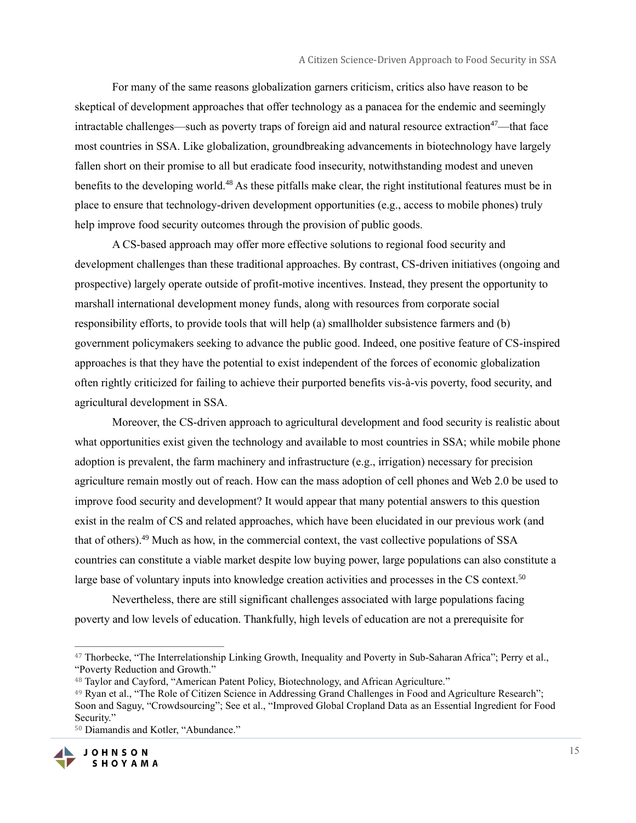For many of the same reasons globalization garners criticism, critics also have reason to be skeptical of development approaches that offer technology as a panacea for the endemic and seemingly intractable challenges—such as poverty traps of foreign aid and natural resource extraction<sup>47</sup>—that face most countries in SSA. Like globalization, groundbreaking advancements in biotechnology have largely fallen short on their promise to all but eradicate food insecurity, notwithstanding modest and uneven benefits to the developing world.<sup>48</sup> As these pitfalls make clear, the right institutional features must be in place to ensure that technology-driven development opportunities (e.g., access to mobile phones) truly help improve food security outcomes through the provision of public goods.

A CS-based approach may offer more effective solutions to regional food security and development challenges than these traditional approaches. By contrast, CS-driven initiatives (ongoing and prospective) largely operate outside of profit-motive incentives. Instead, they present the opportunity to marshall international development money funds, along with resources from corporate social responsibility efforts, to provide tools that will help (a) smallholder subsistence farmers and (b) government policymakers seeking to advance the public good. Indeed, one positive feature of CS-inspired approaches is that they have the potential to exist independent of the forces of economic globalization often rightly criticized for failing to achieve their purported benefits vis-à-vis poverty, food security, and agricultural development in SSA.

Moreover, the CS-driven approach to agricultural development and food security is realistic about what opportunities exist given the technology and available to most countries in SSA; while mobile phone adoption is prevalent, the farm machinery and infrastructure (e.g., irrigation) necessary for precision agriculture remain mostly out of reach. How can the mass adoption of cell phones and Web 2.0 be used to improve food security and development? It would appear that many potential answers to this question exist in the realm of CS and related approaches, which have been elucidated in our previous work (and that of others).<sup>49</sup> Much as how, in the commercial context, the vast collective populations of SSA countries can constitute a viable market despite low buying power, large populations can also constitute a large base of voluntary inputs into knowledge creation activities and processes in the CS context.<sup>50</sup>

Nevertheless, there are still significant challenges associated with large populations facing poverty and low levels of education. Thankfully, high levels of education are not a prerequisite for

<sup>50</sup> Diamandis and Kotler, "Abundance."



<sup>47</sup> Thorbecke, "The Interrelationship Linking Growth, Inequality and Poverty in Sub-Saharan Africa"; Perry et al., "Poverty Reduction and Growth."

<sup>48</sup> Taylor and Cayford, "American Patent Policy, Biotechnology, and African Agriculture."

<sup>49</sup> Ryan et al., "The Role of Citizen Science in Addressing Grand Challenges in Food and Agriculture Research"; Soon and Saguy, "Crowdsourcing"; See et al., "Improved Global Cropland Data as an Essential Ingredient for Food Security."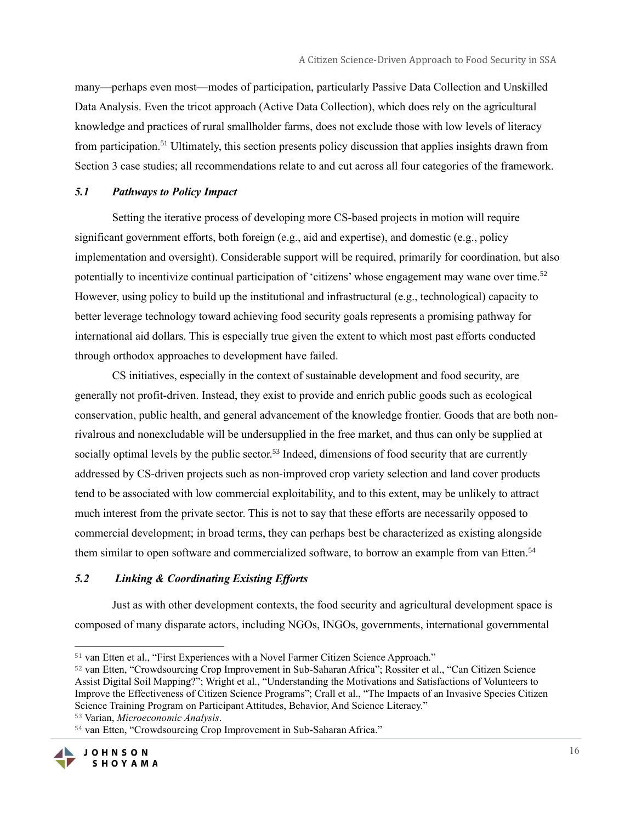many—perhaps even most—modes of participation, particularly Passive Data Collection and Unskilled Data Analysis. Even the tricot approach (Active Data Collection), which does rely on the agricultural knowledge and practices of rural smallholder farms, does not exclude those with low levels of literacy from participation.<sup>51</sup> Ultimately, this section presents policy discussion that applies insights drawn from Section 3 case studies; all recommendations relate to and cut across all four categories of the framework.

#### *5.1 Pathways to Policy Impact*

Setting the iterative process of developing more CS-based projects in motion will require significant government efforts, both foreign (e.g., aid and expertise), and domestic (e.g., policy implementation and oversight). Considerable support will be required, primarily for coordination, but also potentially to incentivize continual participation of 'citizens' whose engagement may wane over time.<sup>52</sup> However, using policy to build up the institutional and infrastructural (e.g., technological) capacity to better leverage technology toward achieving food security goals represents a promising pathway for international aid dollars. This is especially true given the extent to which most past efforts conducted through orthodox approaches to development have failed.

CS initiatives, especially in the context of sustainable development and food security, are generally not profit-driven. Instead, they exist to provide and enrich public goods such as ecological conservation, public health, and general advancement of the knowledge frontier. Goods that are both nonrivalrous and nonexcludable will be undersupplied in the free market, and thus can only be supplied at socially optimal levels by the public sector.<sup>53</sup> Indeed, dimensions of food security that are currently addressed by CS-driven projects such as non-improved crop variety selection and land cover products tend to be associated with low commercial exploitability, and to this extent, may be unlikely to attract much interest from the private sector. This is not to say that these efforts are necessarily opposed to commercial development; in broad terms, they can perhaps best be characterized as existing alongside them similar to open software and commercialized software, to borrow an example from van Etten.<sup>54</sup>

#### *5.2 Linking & Coordinating Existing Efforts*

Just as with other development contexts, the food security and agricultural development space is composed of many disparate actors, including NGOs, INGOs, governments, international governmental

<sup>54</sup> van Etten, "Crowdsourcing Crop Improvement in Sub-Saharan Africa."



<sup>51</sup> van Etten et al., "First Experiences with a Novel Farmer Citizen Science Approach."

<sup>52</sup> van Etten, "Crowdsourcing Crop Improvement in Sub-Saharan Africa"; Rossiter et al., "Can Citizen Science Assist Digital Soil Mapping?"; Wright et al., "Understanding the Motivations and Satisfactions of Volunteers to Improve the Effectiveness of Citizen Science Programs"; Crall et al., "The Impacts of an Invasive Species Citizen Science Training Program on Participant Attitudes, Behavior, And Science Literacy."

<sup>53</sup> Varian, *Microeconomic Analysis*.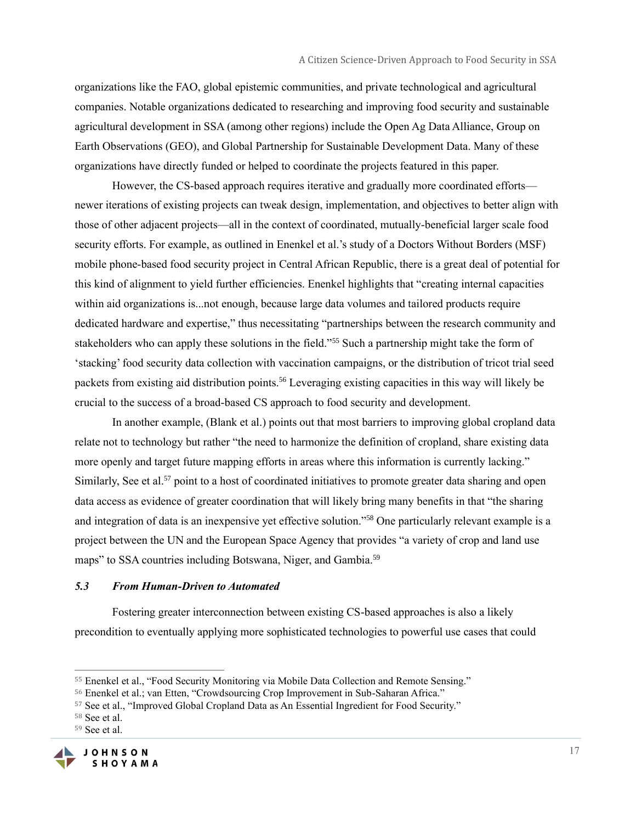organizations like the FAO, global epistemic communities, and private technological and agricultural companies. Notable organizations dedicated to researching and improving food security and sustainable agricultural development in SSA (among other regions) include the Open Ag Data Alliance, Group on Earth Observations (GEO), and Global Partnership for Sustainable Development Data. Many of these organizations have directly funded or helped to coordinate the projects featured in this paper.

However, the CS-based approach requires iterative and gradually more coordinated efforts newer iterations of existing projects can tweak design, implementation, and objectives to better align with those of other adjacent projects—all in the context of coordinated, mutually-beneficial larger scale food security efforts. For example, as outlined in Enenkel et al.'s study of a Doctors Without Borders (MSF) mobile phone-based food security project in Central African Republic, there is a great deal of potential for this kind of alignment to yield further efficiencies. Enenkel highlights that "creating internal capacities within aid organizations is...not enough, because large data volumes and tailored products require dedicated hardware and expertise," thus necessitating "partnerships between the research community and stakeholders who can apply these solutions in the field."<sup>55</sup> Such a partnership might take the form of 'stacking' food security data collection with vaccination campaigns, or the distribution of tricot trial seed packets from existing aid distribution points.<sup>56</sup> Leveraging existing capacities in this way will likely be crucial to the success of a broad-based CS approach to food security and development.

In another example, (Blank et al.) points out that most barriers to improving global cropland data relate not to technology but rather "the need to harmonize the definition of cropland, share existing data more openly and target future mapping efforts in areas where this information is currently lacking." Similarly, See et al.<sup>57</sup> point to a host of coordinated initiatives to promote greater data sharing and open data access as evidence of greater coordination that will likely bring many benefits in that "the sharing and integration of data is an inexpensive yet effective solution."<sup>58</sup> One particularly relevant example is a project between the UN and the European Space Agency that provides "a variety of crop and land use maps" to SSA countries including Botswana, Niger, and Gambia.<sup>59</sup>

#### *5.3 From Human-Driven to Automated*

Fostering greater interconnection between existing CS-based approaches is also a likely precondition to eventually applying more sophisticated technologies to powerful use cases that could

<sup>59</sup> See et al.



<sup>55</sup> Enenkel et al., "Food Security Monitoring via Mobile Data Collection and Remote Sensing."

<sup>56</sup> Enenkel et al.; van Etten, "Crowdsourcing Crop Improvement in Sub-Saharan Africa."

<sup>57</sup> See et al., "Improved Global Cropland Data as An Essential Ingredient for Food Security."

<sup>58</sup> See et al.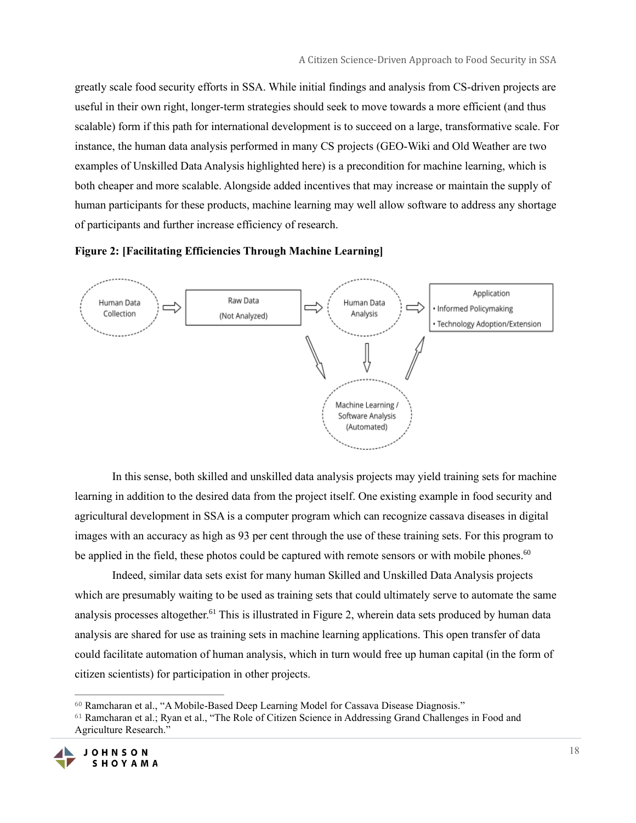greatly scale food security efforts in SSA. While initial findings and analysis from CS-driven projects are useful in their own right, longer-term strategies should seek to move towards a more efficient (and thus scalable) form if this path for international development is to succeed on a large, transformative scale. For instance, the human data analysis performed in many CS projects (GEO-Wiki and Old Weather are two examples of Unskilled Data Analysis highlighted here) is a precondition for machine learning, which is both cheaper and more scalable. Alongside added incentives that may increase or maintain the supply of human participants for these products, machine learning may well allow software to address any shortage of participants and further increase efficiency of research.





In this sense, both skilled and unskilled data analysis projects may yield training sets for machine learning in addition to the desired data from the project itself. One existing example in food security and agricultural development in SSA is a computer program which can recognize cassava diseases in digital images with an accuracy as high as 93 per cent through the use of these training sets. For this program to be applied in the field, these photos could be captured with remote sensors or with mobile phones.<sup>60</sup>

Indeed, similar data sets exist for many human Skilled and Unskilled Data Analysis projects which are presumably waiting to be used as training sets that could ultimately serve to automate the same analysis processes altogether.<sup>61</sup> This is illustrated in Figure 2, wherein data sets produced by human data analysis are shared for use as training sets in machine learning applications. This open transfer of data could facilitate automation of human analysis, which in turn would free up human capital (in the form of citizen scientists) for participation in other projects.

<sup>61</sup> Ramcharan et al.; Ryan et al., "The Role of Citizen Science in Addressing Grand Challenges in Food and Agriculture Research."



<sup>60</sup> Ramcharan et al., "A Mobile-Based Deep Learning Model for Cassava Disease Diagnosis."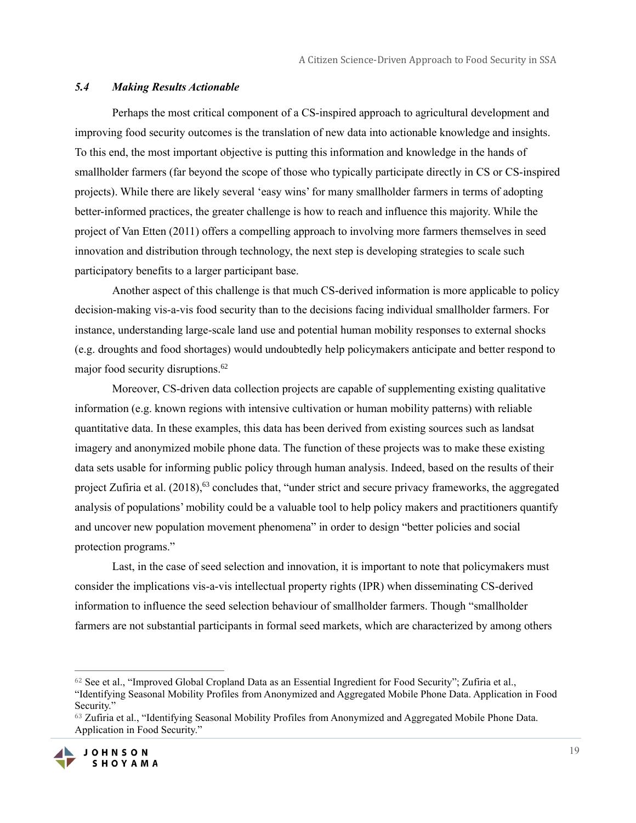#### *5.4 Making Results Actionable*

Perhaps the most critical component of a CS-inspired approach to agricultural development and improving food security outcomes is the translation of new data into actionable knowledge and insights. To this end, the most important objective is putting this information and knowledge in the hands of smallholder farmers (far beyond the scope of those who typically participate directly in CS or CS-inspired projects). While there are likely several 'easy wins' for many smallholder farmers in terms of adopting better-informed practices, the greater challenge is how to reach and influence this majority. While the project of Van Etten (2011) offers a compelling approach to involving more farmers themselves in seed innovation and distribution through technology, the next step is developing strategies to scale such participatory benefits to a larger participant base.

Another aspect of this challenge is that much CS-derived information is more applicable to policy decision-making vis-a-vis food security than to the decisions facing individual smallholder farmers. For instance, understanding large-scale land use and potential human mobility responses to external shocks (e.g. droughts and food shortages) would undoubtedly help policymakers anticipate and better respond to major food security disruptions.<sup>62</sup>

Moreover, CS-driven data collection projects are capable of supplementing existing qualitative information (e.g. known regions with intensive cultivation or human mobility patterns) with reliable quantitative data. In these examples, this data has been derived from existing sources such as landsat imagery and anonymized mobile phone data. The function of these projects was to make these existing data sets usable for informing public policy through human analysis. Indeed, based on the results of their project Zufiria et al.  $(2018)$ ,<sup>63</sup> concludes that, "under strict and secure privacy frameworks, the aggregated analysis of populations' mobility could be a valuable tool to help policy makers and practitioners quantify and uncover new population movement phenomena" in order to design "better policies and social protection programs."

Last, in the case of seed selection and innovation, it is important to note that policymakers must consider the implications vis-a-vis intellectual property rights (IPR) when disseminating CS-derived information to influence the seed selection behaviour of smallholder farmers. Though "smallholder farmers are not substantial participants in formal seed markets, which are characterized by among others

<sup>63</sup> Zufiria et al., "Identifying Seasonal Mobility Profiles from Anonymized and Aggregated Mobile Phone Data. Application in Food Security."



<sup>62</sup> See et al., "Improved Global Cropland Data as an Essential Ingredient for Food Security"; Zufiria et al., "Identifying Seasonal Mobility Profiles from Anonymized and Aggregated Mobile Phone Data. Application in Food Security."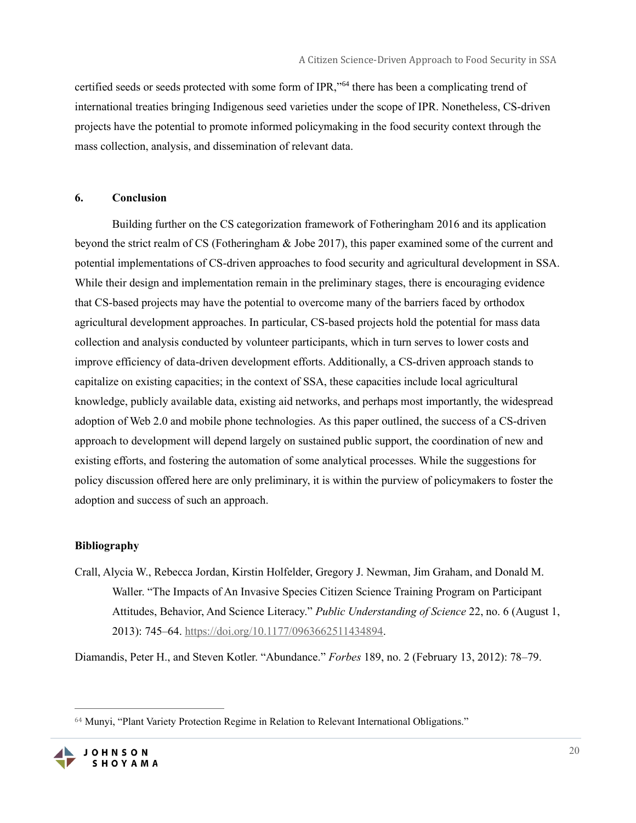certified seeds or seeds protected with some form of IPR,"<sup>64</sup> there has been a complicating trend of international treaties bringing Indigenous seed varieties under the scope of IPR. Nonetheless, CS-driven projects have the potential to promote informed policymaking in the food security context through the mass collection, analysis, and dissemination of relevant data.

#### **6. Conclusion**

Building further on the CS categorization framework of Fotheringham 2016 and its application beyond the strict realm of CS (Fotheringham & Jobe 2017), this paper examined some of the current and potential implementations of CS-driven approaches to food security and agricultural development in SSA. While their design and implementation remain in the preliminary stages, there is encouraging evidence that CS-based projects may have the potential to overcome many of the barriers faced by orthodox agricultural development approaches. In particular, CS-based projects hold the potential for mass data collection and analysis conducted by volunteer participants, which in turn serves to lower costs and improve efficiency of data-driven development efforts. Additionally, a CS-driven approach stands to capitalize on existing capacities; in the context of SSA, these capacities include local agricultural knowledge, publicly available data, existing aid networks, and perhaps most importantly, the widespread adoption of Web 2.0 and mobile phone technologies. As this paper outlined, the success of a CS-driven approach to development will depend largely on sustained public support, the coordination of new and existing efforts, and fostering the automation of some analytical processes. While the suggestions for policy discussion offered here are only preliminary, it is within the purview of policymakers to foster the adoption and success of such an approach.

#### **Bibliography**

Crall, Alycia W., Rebecca Jordan, Kirstin Holfelder, Gregory J. Newman, Jim Graham, and Donald M. Waller. "The Impacts of An Invasive Species Citizen Science Training Program on Participant Attitudes, Behavior, And Science Literacy." *Public Understanding of Science* 22, no. 6 (August 1, 2013): 745–64. [https://doi.org/10.1177/0963662511434894.](https://doi.org/10.1177/0963662511434894)

Diamandis, Peter H., and Steven Kotler. "Abundance." *Forbes* 189, no. 2 (February 13, 2012): 78–79.

<sup>64</sup> Munyi, "Plant Variety Protection Regime in Relation to Relevant International Obligations."

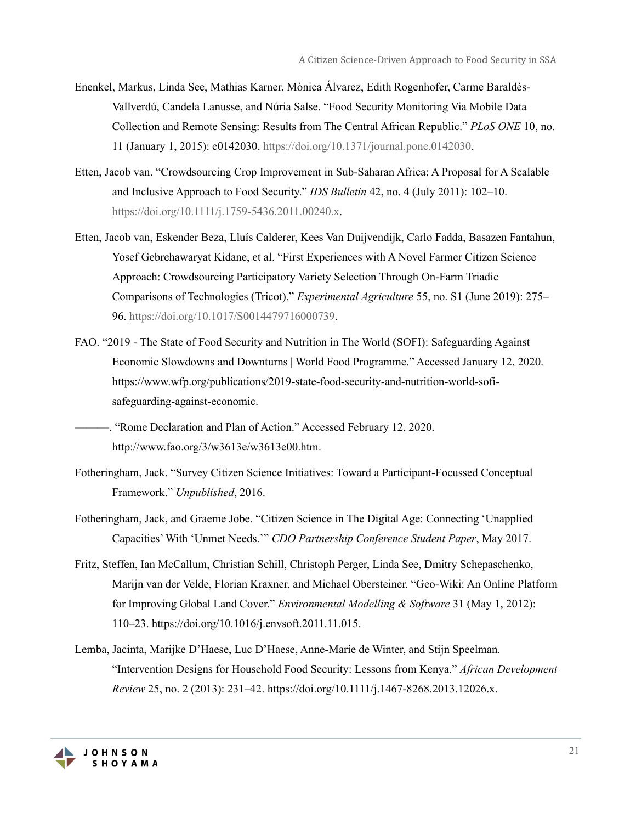- Enenkel, Markus, Linda See, Mathias Karner, Mònica Álvarez, Edith Rogenhofer, Carme Baraldès-Vallverdú, Candela Lanusse, and Núria Salse. "Food Security Monitoring Via Mobile Data Collection and Remote Sensing: Results from The Central African Republic." *PLoS ONE* 10, no. 11 (January 1, 2015): e0142030. [https://doi.org/10.1371/journal.pone.0142030.](https://doi.org/10.1371/journal.pone.0142030)
- Etten, Jacob van. "Crowdsourcing Crop Improvement in Sub-Saharan Africa: A Proposal for A Scalable and Inclusive Approach to Food Security." *IDS Bulletin* 42, no. 4 (July 2011): 102–10. [https://doi.org/10.1111/j.1759-5436.2011.00240.x.](https://doi.org/10.1111/j.1759-5436.2011.00240.x)
- Etten, Jacob van, Eskender Beza, Lluís Calderer, Kees Van Duijvendijk, Carlo Fadda, Basazen Fantahun, Yosef Gebrehawaryat Kidane, et al. "First Experiences with A Novel Farmer Citizen Science Approach: Crowdsourcing Participatory Variety Selection Through On-Farm Triadic Comparisons of Technologies (Tricot)." *Experimental Agriculture* 55, no. S1 (June 2019): 275– 96. [https://doi.org/10.1017/S0014479716000739.](https://doi.org/10.1017/S0014479716000739)
- FAO. "2019 The State of Food Security and Nutrition in The World (SOFI): Safeguarding Against Economic Slowdowns and Downturns | World Food Programme." Accessed January 12, 2020. https://www.wfp.org/publications/2019-state-food-security-and-nutrition-world-sofisafeguarding-against-economic.
	- -. "Rome Declaration and Plan of Action." Accessed February 12, 2020. http://www.fao.org/3/w3613e/w3613e00.htm.
- Fotheringham, Jack. "Survey Citizen Science Initiatives: Toward a Participant-Focussed Conceptual Framework." *Unpublished*, 2016.
- Fotheringham, Jack, and Graeme Jobe. "Citizen Science in The Digital Age: Connecting 'Unapplied Capacities' With 'Unmet Needs.'" *CDO Partnership Conference Student Paper*, May 2017.
- Fritz, Steffen, Ian McCallum, Christian Schill, Christoph Perger, Linda See, Dmitry Schepaschenko, Marijn van der Velde, Florian Kraxner, and Michael Obersteiner. "Geo-Wiki: An Online Platform for Improving Global Land Cover." *Environmental Modelling & Software* 31 (May 1, 2012): 110–23. https://doi.org/10.1016/j.envsoft.2011.11.015.
- Lemba, Jacinta, Marijke D'Haese, Luc D'Haese, Anne-Marie de Winter, and Stijn Speelman. "Intervention Designs for Household Food Security: Lessons from Kenya." *African Development Review* 25, no. 2 (2013): 231–42. https://doi.org/10.1111/j.1467-8268.2013.12026.x.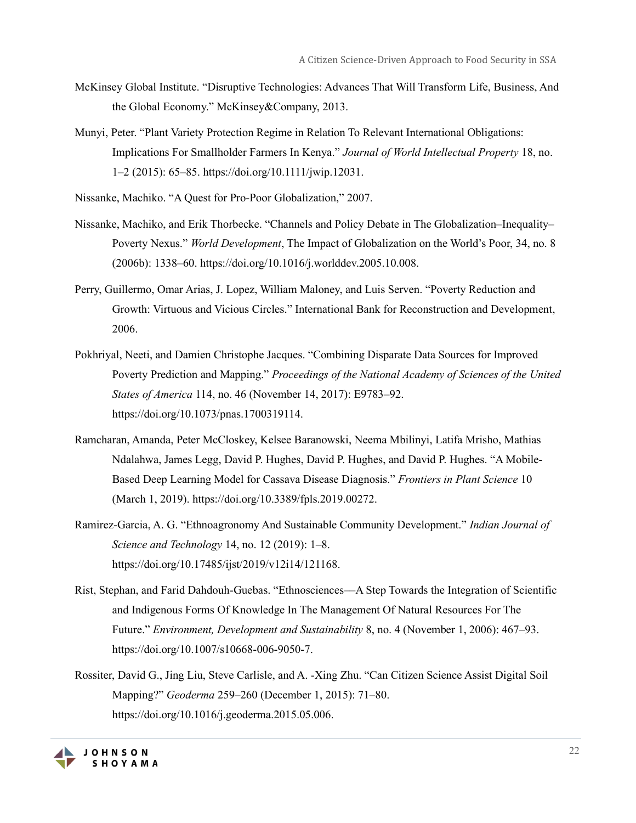- McKinsey Global Institute. "Disruptive Technologies: Advances That Will Transform Life, Business, And the Global Economy." McKinsey&Company, 2013.
- Munyi, Peter. "Plant Variety Protection Regime in Relation To Relevant International Obligations: Implications For Smallholder Farmers In Kenya." *Journal of World Intellectual Property* 18, no. 1–2 (2015): 65–85. https://doi.org/10.1111/jwip.12031.
- Nissanke, Machiko. "A Quest for Pro-Poor Globalization," 2007.
- Nissanke, Machiko, and Erik Thorbecke. "Channels and Policy Debate in The Globalization–Inequality– Poverty Nexus." *World Development*, The Impact of Globalization on the World's Poor, 34, no. 8 (2006b): 1338–60. https://doi.org/10.1016/j.worlddev.2005.10.008.
- Perry, Guillermo, Omar Arias, J. Lopez, William Maloney, and Luis Serven. "Poverty Reduction and Growth: Virtuous and Vicious Circles." International Bank for Reconstruction and Development, 2006.
- Pokhriyal, Neeti, and Damien Christophe Jacques. "Combining Disparate Data Sources for Improved Poverty Prediction and Mapping." *Proceedings of the National Academy of Sciences of the United States of America* 114, no. 46 (November 14, 2017): E9783–92. https://doi.org/10.1073/pnas.1700319114.
- Ramcharan, Amanda, Peter McCloskey, Kelsee Baranowski, Neema Mbilinyi, Latifa Mrisho, Mathias Ndalahwa, James Legg, David P. Hughes, David P. Hughes, and David P. Hughes. "A Mobile-Based Deep Learning Model for Cassava Disease Diagnosis." *Frontiers in Plant Science* 10 (March 1, 2019). https://doi.org/10.3389/fpls.2019.00272.
- Ramirez-Garcia, A. G. "Ethnoagronomy And Sustainable Community Development." *Indian Journal of Science and Technology* 14, no. 12 (2019): 1–8. https://doi.org/10.17485/ijst/2019/v12i14/121168.
- Rist, Stephan, and Farid Dahdouh-Guebas. "Ethnosciences––A Step Towards the Integration of Scientific and Indigenous Forms Of Knowledge In The Management Of Natural Resources For The Future." *Environment, Development and Sustainability* 8, no. 4 (November 1, 2006): 467–93. https://doi.org/10.1007/s10668-006-9050-7.
- Rossiter, David G., Jing Liu, Steve Carlisle, and A. -Xing Zhu. "Can Citizen Science Assist Digital Soil Mapping?" *Geoderma* 259–260 (December 1, 2015): 71–80. https://doi.org/10.1016/j.geoderma.2015.05.006.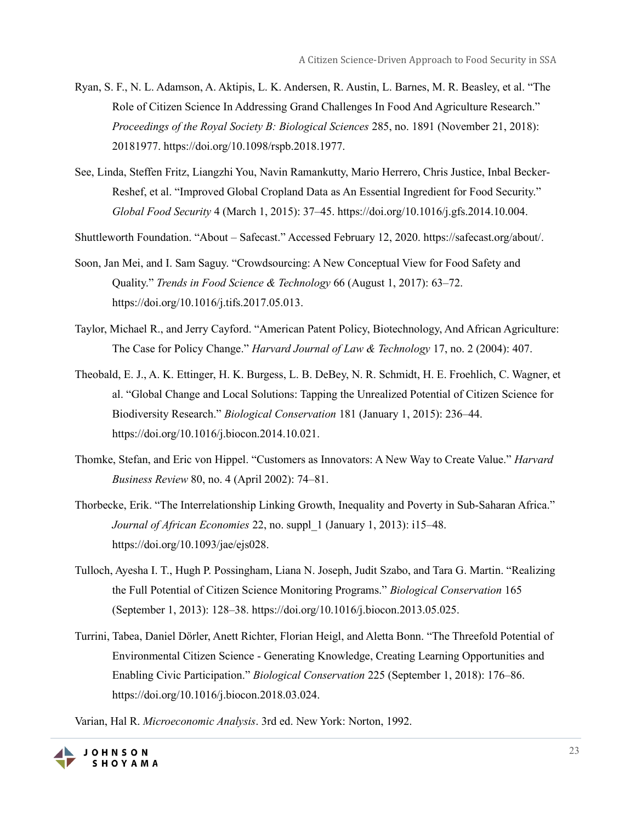- Ryan, S. F., N. L. Adamson, A. Aktipis, L. K. Andersen, R. Austin, L. Barnes, M. R. Beasley, et al. "The Role of Citizen Science In Addressing Grand Challenges In Food And Agriculture Research." *Proceedings of the Royal Society B: Biological Sciences* 285, no. 1891 (November 21, 2018): 20181977. https://doi.org/10.1098/rspb.2018.1977.
- See, Linda, Steffen Fritz, Liangzhi You, Navin Ramankutty, Mario Herrero, Chris Justice, Inbal Becker-Reshef, et al. "Improved Global Cropland Data as An Essential Ingredient for Food Security." *Global Food Security* 4 (March 1, 2015): 37–45. https://doi.org/10.1016/j.gfs.2014.10.004.
- Shuttleworth Foundation. "About Safecast." Accessed February 12, 2020. https://safecast.org/about/.
- Soon, Jan Mei, and I. Sam Saguy. "Crowdsourcing: A New Conceptual View for Food Safety and Quality." *Trends in Food Science & Technology* 66 (August 1, 2017): 63–72. https://doi.org/10.1016/j.tifs.2017.05.013.
- Taylor, Michael R., and Jerry Cayford. "American Patent Policy, Biotechnology, And African Agriculture: The Case for Policy Change." *Harvard Journal of Law & Technology* 17, no. 2 (2004): 407.
- Theobald, E. J., A. K. Ettinger, H. K. Burgess, L. B. DeBey, N. R. Schmidt, H. E. Froehlich, C. Wagner, et al. "Global Change and Local Solutions: Tapping the Unrealized Potential of Citizen Science for Biodiversity Research." *Biological Conservation* 181 (January 1, 2015): 236–44. https://doi.org/10.1016/j.biocon.2014.10.021.
- Thomke, Stefan, and Eric von Hippel. "Customers as Innovators: A New Way to Create Value." *Harvard Business Review* 80, no. 4 (April 2002): 74–81.
- Thorbecke, Erik. "The Interrelationship Linking Growth, Inequality and Poverty in Sub-Saharan Africa." *Journal of African Economies* 22, no. suppl\_1 (January 1, 2013): i15–48. https://doi.org/10.1093/jae/ejs028.
- Tulloch, Ayesha I. T., Hugh P. Possingham, Liana N. Joseph, Judit Szabo, and Tara G. Martin. "Realizing the Full Potential of Citizen Science Monitoring Programs." *Biological Conservation* 165 (September 1, 2013): 128–38. https://doi.org/10.1016/j.biocon.2013.05.025.
- Turrini, Tabea, Daniel Dörler, Anett Richter, Florian Heigl, and Aletta Bonn. "The Threefold Potential of Environmental Citizen Science - Generating Knowledge, Creating Learning Opportunities and Enabling Civic Participation." *Biological Conservation* 225 (September 1, 2018): 176–86. https://doi.org/10.1016/j.biocon.2018.03.024.

Varian, Hal R. *Microeconomic Analysis*. 3rd ed. New York: Norton, 1992.